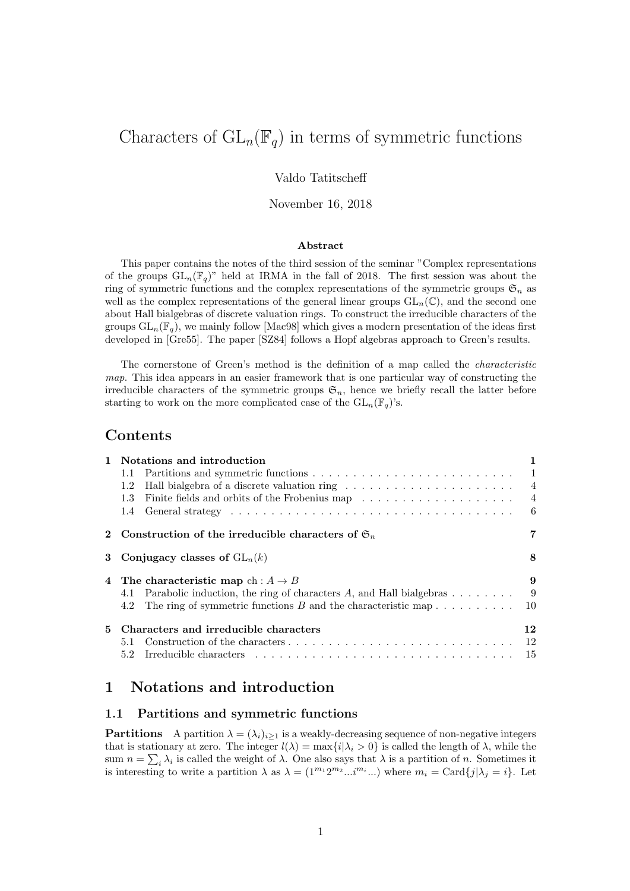# Characters of  $GL_n(\mathbb{F}_q)$  in terms of symmetric functions

### Valdo Tatitscheff

#### November 16, 2018

#### Abstract

This paper contains the notes of the third session of the seminar "Complex representations of the groups  $GL_n(\mathbb{F}_q)$ " held at IRMA in the fall of 2018. The first session was about the ring of symmetric functions and the complex representations of the symmetric groups  $\mathfrak{S}_n$  as well as the complex representations of the general linear groups  $GL_n(\mathbb{C})$ , and the second one about Hall bialgebras of discrete valuation rings. To construct the irreducible characters of the groups  $GL_n(\mathbb{F}_q)$ , we mainly follow [Mac98] which gives a modern presentation of the ideas first developed in [Gre55]. The paper [SZ84] follows a Hopf algebras approach to Green's results.

The cornerstone of Green's method is the definition of a map called the characteristic map. This idea appears in an easier framework that is one particular way of constructing the irreducible characters of the symmetric groups  $\mathfrak{S}_n$ , hence we briefly recall the latter before starting to work on the more complicated case of the  $GL_n(\mathbb{F}_q)$ 's.

### Contents

| $\mathbf{1}$ | Notations and introduction                                                   | 1              |
|--------------|------------------------------------------------------------------------------|----------------|
|              | 1.1                                                                          |                |
|              | 1.2                                                                          |                |
|              |                                                                              | $\overline{4}$ |
|              |                                                                              |                |
|              | 2 Construction of the irreducible characters of $\mathfrak{S}_n$             | 7              |
|              | 3 Conjugacy classes of $GL_n(k)$                                             | 8              |
|              | 4 The characteristic map ch: $A \rightarrow B$                               | 9              |
|              | Parabolic induction, the ring of characters $A$ , and Hall bialgebras<br>4.1 | - 9            |
|              | 4.2 The ring of symmetric functions $B$ and the characteristic map           | -10            |
| 5.           | Characters and irreducible characters                                        | 12             |
|              | 5.1                                                                          | - 12           |
|              |                                                                              | - 15           |

### 1 Notations and introduction

### 1.1 Partitions and symmetric functions

**Partitions** A partition  $\lambda = (\lambda_i)_{i\geq 1}$  is a weakly-decreasing sequence of non-negative integers that is stationary at zero. The integer  $l(\lambda) = \max\{i|\lambda_i > 0\}$  is called the length of  $\lambda$ , while the sum  $n = \sum_i \lambda_i$  is called the weight of  $\lambda$ . One also says that  $\lambda$  is a partition of n. Sometimes it is interesting to write a partition  $\lambda$  as  $\lambda = (1^{m_1} 2^{m_2} ... i^{m_i} ...)$  where  $m_i = \text{Card}\{j | \lambda_j = i\}$ . Let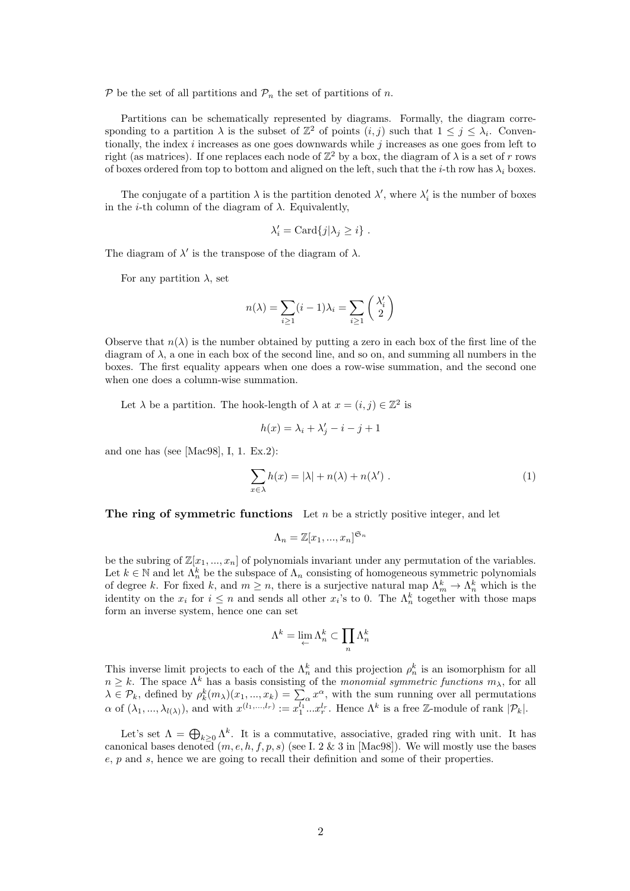$P$  be the set of all partitions and  $P_n$  the set of partitions of n.

Partitions can be schematically represented by diagrams. Formally, the diagram corresponding to a partition  $\lambda$  is the subset of  $\mathbb{Z}^2$  of points  $(i, j)$  such that  $1 \leq j \leq \lambda_i$ . Conventionally, the index  $i$  increases as one goes downwards while  $j$  increases as one goes from left to right (as matrices). If one replaces each node of  $\mathbb{Z}^2$  by a box, the diagram of  $\lambda$  is a set of r rows of boxes ordered from top to bottom and aligned on the left, such that the *i*-th row has  $\lambda_i$  boxes.

The conjugate of a partition  $\lambda$  is the partition denoted  $\lambda'$ , where  $\lambda'_i$  is the number of boxes in the *i*-th column of the diagram of  $\lambda$ . Equivalently,

$$
\lambda'_i = \mathrm{Card}\{j|\lambda_j \geq i\} .
$$

The diagram of  $\lambda'$  is the transpose of the diagram of  $\lambda$ .

For any partition  $\lambda$ , set

$$
n(\lambda) = \sum_{i \ge 1} (i - 1)\lambda_i = \sum_{i \ge 1} {\lambda'_i \choose 2}
$$

Observe that  $n(\lambda)$  is the number obtained by putting a zero in each box of the first line of the diagram of  $\lambda$ , a one in each box of the second line, and so on, and summing all numbers in the boxes. The first equality appears when one does a row-wise summation, and the second one when one does a column-wise summation.

Let  $\lambda$  be a partition. The hook-length of  $\lambda$  at  $x = (i, j) \in \mathbb{Z}^2$  is

$$
h(x) = \lambda_i + \lambda'_j - i - j + 1
$$

and one has (see [Mac98], I, 1. Ex.2):

$$
\sum_{x \in \lambda} h(x) = |\lambda| + n(\lambda) + n(\lambda') . \tag{1}
$$

The ring of symmetric functions Let  $n$  be a strictly positive integer, and let

$$
\Lambda_n = \mathbb{Z}[x_1, ..., x_n]^{\mathfrak{S}_n}
$$

be the subring of  $\mathbb{Z}[x_1, ..., x_n]$  of polynomials invariant under any permutation of the variables. Let  $k \in \mathbb{N}$  and let  $\Lambda_n^k$  be the subspace of  $\Lambda_n$  consisting of homogeneous symmetric polynomials of degree k. For fixed k, and  $m \ge n$ , there is a surjective natural map  $\Lambda_m^k \to \Lambda_n^k$  which is the identity on the  $x_i$  for  $i \leq n$  and sends all other  $x_i$ 's to 0. The  $\Lambda_n^k$  together with those maps form an inverse system, hence one can set

$$
\Lambda^k=\lim\limits_{\leftarrow} \Lambda^k_n\subset \prod\limits_n \Lambda^k_n
$$

This inverse limit projects to each of the  $\Lambda_n^k$  and this projection  $\rho_n^k$  is an isomorphism for all  $n \geq k$ . The space  $\Lambda^k$  has a basis consisting of the monomial symmetric functions  $m_\lambda$ , for all  $\lambda \in \mathcal{P}_k$ , defined by  $\rho_k^k(m_\lambda)(x_1, ..., x_k) = \sum_\alpha x^\alpha$ , with the sum running over all permutations  $\alpha$  of  $(\lambda_1, ..., \lambda_{l(\lambda)})$ , and with  $x^{(l_1,...,l_r)} := x_1^{l_1}...x_r^{l_r}$ . Hence  $\Lambda^k$  is a free Z-module of rank  $|\mathcal{P}_k|$ .

Let's set  $\Lambda = \bigoplus_{k \geq 0} \Lambda^k$ . It is a commutative, associative, graded ring with unit. It has canonical bases denoted  $(m, e, h, f, p, s)$  (see I. 2 & 3 in [Mac98]). We will mostly use the bases e, p and s, hence we are going to recall their definition and some of their properties.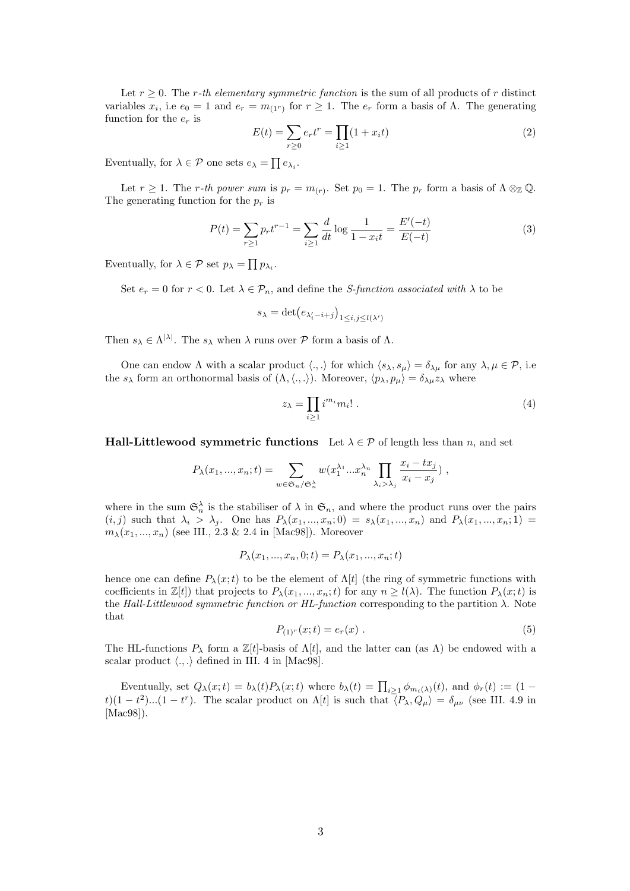Let  $r \geq 0$ . The r-th elementary symmetric function is the sum of all products of r distinct variables  $x_i$ , i.e  $e_0 = 1$  and  $e_r = m_{(1^r)}$  for  $r \ge 1$ . The  $e_r$  form a basis of  $\Lambda$ . The generating function for the  $e_r$  is

$$
E(t) = \sum_{r \ge 0} e_r t^r = \prod_{i \ge 1} (1 + x_i t)
$$
 (2)

Eventually, for  $\lambda \in \mathcal{P}$  one sets  $e_{\lambda} = \prod e_{\lambda_i}$ .

Let  $r \geq 1$ . The r-th power sum is  $p_r = m_{(r)}$ . Set  $p_0 = 1$ . The  $p_r$  form a basis of  $\Lambda \otimes_{\mathbb{Z}} \mathbb{Q}$ . The generating function for the  $p_r$  is

$$
P(t) = \sum_{r \ge 1} p_r t^{r-1} = \sum_{i \ge 1} \frac{d}{dt} \log \frac{1}{1 - x_i t} = \frac{E'(-t)}{E(-t)}
$$
(3)

Eventually, for  $\lambda \in \mathcal{P}$  set  $p_{\lambda} = \prod p_{\lambda_i}$ .

Set  $e_r = 0$  for  $r < 0$ . Let  $\lambda \in \mathcal{P}_n$ , and define the *S-function associated with*  $\lambda$  to be

$$
s_{\lambda} = \det(e_{\lambda_i' - i + j})_{1 \le i, j \le l(\lambda')}
$$

Then  $s_{\lambda} \in \Lambda^{|\lambda|}$ . The  $s_{\lambda}$  when  $\lambda$  runs over  $P$  form a basis of  $\Lambda$ .

One can endow  $\Lambda$  with a scalar product  $\langle ., . \rangle$  for which  $\langle s_{\lambda}, s_{\mu} \rangle = \delta_{\lambda \mu}$  for any  $\lambda, \mu \in \mathcal{P}$ , i.e. the  $s_{\lambda}$  form an orthonormal basis of  $(\Lambda, \langle ., . \rangle)$ . Moreover,  $\langle p_{\lambda}, p_{\mu} \rangle = \delta_{\lambda \mu} z_{\lambda}$  where

$$
z_{\lambda} = \prod_{i \ge 1} i^{m_i} m_i! \tag{4}
$$

**Hall-Littlewood symmetric functions** Let  $\lambda \in \mathcal{P}$  of length less than n, and set

$$
P_{\lambda}(x_1, ..., x_n; t) = \sum_{w \in \mathfrak{S}_n/\mathfrak{S}_n^{\lambda}} w(x_1^{\lambda_1} ... x_n^{\lambda_n} \prod_{\lambda_i > \lambda_j} \frac{x_i - tx_j}{x_i - x_j}),
$$

where in the sum  $\mathfrak{S}_n^{\lambda}$  is the stabiliser of  $\lambda$  in  $\mathfrak{S}_n$ , and where the product runs over the pairs  $(i, j)$  such that  $\lambda_i > \lambda_j$ . One has  $P_{\lambda}(x_1, ..., x_n; 0) = s_{\lambda}(x_1, ..., x_n)$  and  $P_{\lambda}(x_1, ..., x_n; 1) =$  $m_{\lambda}(x_1, ..., x_n)$  (see III., 2.3 & 2.4 in [Mac98]). Moreover

$$
P_{\lambda}(x_1, ..., x_n, 0; t) = P_{\lambda}(x_1, ..., x_n; t)
$$

hence one can define  $P_{\lambda}(x;t)$  to be the element of  $\Lambda[t]$  (the ring of symmetric functions with coefficients in  $\mathbb{Z}[t]$ ) that projects to  $P_{\lambda}(x_1,...,x_n;t)$  for any  $n \geq l(\lambda)$ . The function  $P_{\lambda}(x;t)$  is the Hall-Littlewood symmetric function or HL-function corresponding to the partition  $\lambda$ . Note that

$$
P_{(1)^r}(x;t) = e_r(x) \tag{5}
$$

The HL-functions  $P_{\lambda}$  form a  $\mathbb{Z}[t]$ -basis of  $\Lambda[t]$ , and the latter can (as  $\Lambda$ ) be endowed with a scalar product  $\langle ., . \rangle$  defined in III. 4 in [Mac98].

Eventually, set  $Q_{\lambda}(x;t) = b_{\lambda}(t)P_{\lambda}(x;t)$  where  $b_{\lambda}(t) = \prod_{i \geq 1} \phi_{m_i(\lambda)}(t)$ , and  $\phi_r(t) := (1 (t)(1-t^2)...(1-t^r)$ . The scalar product on  $\Lambda[t]$  is such that  $\overline{\langle P_\lambda, Q_\mu\rangle} = \delta_{\mu\nu}$  (see III. 4.9 in [Mac98]).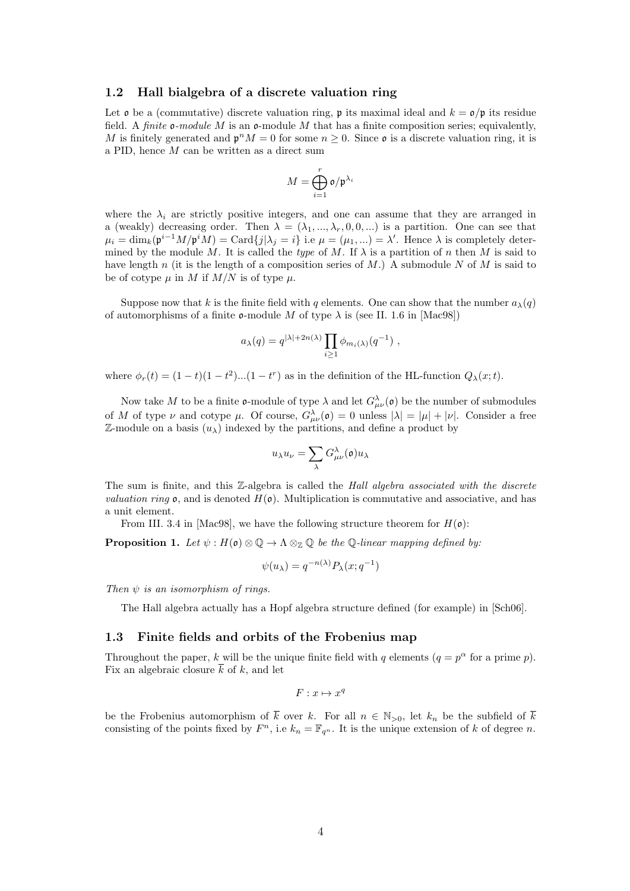#### 1.2 Hall bialgebra of a discrete valuation ring

Let  $\mathfrak o$  be a (commutative) discrete valuation ring,  $\mathfrak p$  its maximal ideal and  $k = \mathfrak o/\mathfrak p$  its residue field. A *finite*  $\mathfrak{o}$ -module M is an  $\mathfrak{o}$ -module M that has a finite composition series; equivalently, M is finitely generated and  $\mathfrak{p}^n M = 0$  for some  $n \geq 0$ . Since  $\mathfrak{o}$  is a discrete valuation ring, it is a PID, hence M can be written as a direct sum

$$
M=\bigoplus_{i=1}^r\mathfrak{o}/\mathfrak{p}^{\lambda_i}
$$

where the  $\lambda_i$  are strictly positive integers, and one can assume that they are arranged in a (weakly) decreasing order. Then  $\lambda = (\lambda_1, ..., \lambda_r, 0, 0, ...)$  is a partition. One can see that  $\mu_i = \dim_k(\mathfrak{p}^{i-1}M/\mathfrak{p}^iM) = \text{Card}\{j|\lambda_j = i\}$  i.e  $\mu = (\mu_1, \ldots) = \lambda'$ . Hence  $\lambda$  is completely determined by the module M. It is called the type of M. If  $\lambda$  is a partition of n then M is said to have length n (it is the length of a composition series of M.) A submodule N of M is said to be of cotype  $\mu$  in M if  $M/N$  is of type  $\mu$ .

Suppose now that k is the finite field with q elements. One can show that the number  $a_{\lambda}(q)$ of automorphisms of a finite  $\mathfrak o$ -module M of type  $\lambda$  is (see II. 1.6 in [Mac98])

$$
a_{\lambda}(q) = q^{|\lambda| + 2n(\lambda)} \prod_{i \geq 1} \phi_{m_i(\lambda)}(q^{-1}),
$$

where  $\phi_r(t) = (1-t)(1-t^2)...(1-t^r)$  as in the definition of the HL-function  $Q_\lambda(x;t)$ .

Now take M to be a finite **o**-module of type  $\lambda$  and let  $G_{\mu\nu}^{\lambda}(\mathfrak{o})$  be the number of submodules of M of type  $\nu$  and cotype  $\mu$ . Of course,  $G_{\mu\nu}^{\lambda}(\mathfrak{o}) = 0$  unless  $|\lambda| = |\mu| + |\nu|$ . Consider a free  $\mathbb{Z}$ -module on a basis  $(u_\lambda)$  indexed by the partitions, and define a product by

$$
u_\lambda u_\nu = \sum_\lambda G_{\mu\nu}^\lambda(\mathfrak o) u_\lambda
$$

The sum is finite, and this Z-algebra is called the Hall algebra associated with the discrete *valuation ring*  $\mathfrak{o}$ , and is denoted  $H(\mathfrak{o})$ . Multiplication is commutative and associative, and has a unit element.

From III. 3.4 in [Mac98], we have the following structure theorem for  $H(\mathfrak{o})$ :

**Proposition 1.** Let  $\psi : H(\mathfrak{o}) \otimes \mathbb{Q} \to \Lambda \otimes_{\mathbb{Z}} \mathbb{Q}$  be the Q-linear mapping defined by:

$$
\psi(u_{\lambda}) = q^{-n(\lambda)} P_{\lambda}(x; q^{-1})
$$

Then  $\psi$  is an isomorphism of rings.

The Hall algebra actually has a Hopf algebra structure defined (for example) in [Sch06].

### 1.3 Finite fields and orbits of the Frobenius map

Throughout the paper, k will be the unique finite field with q elements  $(q = p^{\alpha}$  for a prime p). Fix an algebraic closure  $\overline{k}$  of k, and let

 $F: x \mapsto x^q$ 

be the Frobenius automorphism of  $\overline{k}$  over k. For all  $n \in \mathbb{N}_{>0}$ , let  $k_n$  be the subfield of  $\overline{k}$ consisting of the points fixed by  $F<sup>n</sup>$ , i.e  $k_n = \mathbb{F}_{q^n}$ . It is the unique extension of k of degree n.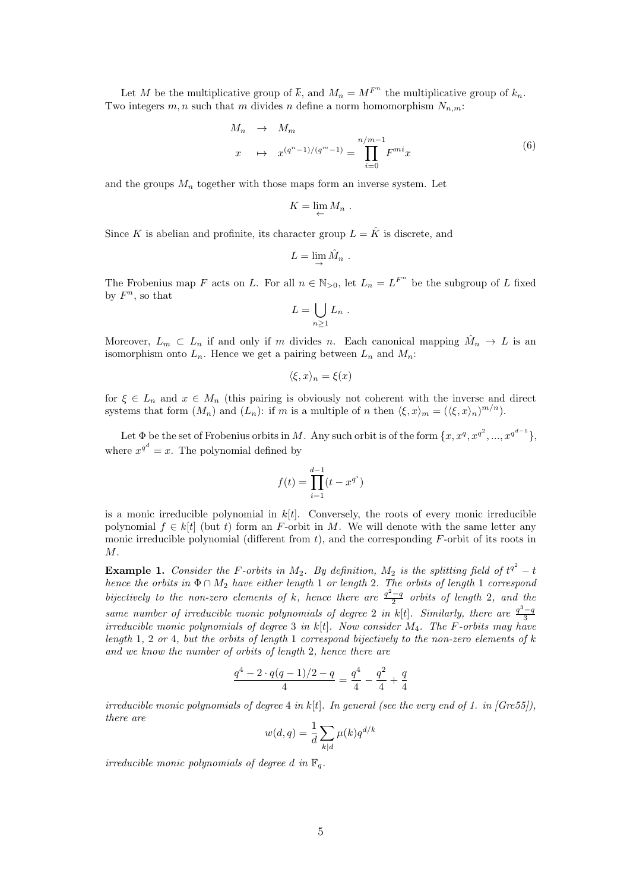Let M be the multiplicative group of  $\overline{k}$ , and  $M_n = M^{F^n}$  the multiplicative group of  $k_n$ . Two integers  $m, n$  such that m divides n define a norm homomorphism  $N_{n,m}$ :

$$
M_n \rightarrow M_m
$$
  

$$
x \rightarrow x^{(q^n-1)/(q^m-1)} = \prod_{i=0}^{n/m-1} F^{mi} x
$$
 (6)

and the groups  $M_n$  together with those maps form an inverse system. Let

$$
K=\lim_{\leftarrow} M_n .
$$

Since K is abelian and profinite, its character group  $L = \hat{K}$  is discrete, and

$$
L = \lim_{\to} \hat{M}_n .
$$

The Frobenius map F acts on L. For all  $n \in \mathbb{N}_{>0}$ , let  $L_n = L^{F^n}$  be the subgroup of L fixed by  $F^n$ , so that

$$
L=\bigcup_{n\geq 1}L_n.
$$

Moreover,  $L_m \subset L_n$  if and only if m divides n. Each canonical mapping  $\hat{M}_n \to L$  is an isomorphism onto  $L_n$ . Hence we get a pairing between  $L_n$  and  $M_n$ :

$$
\langle \xi, x \rangle_n = \xi(x)
$$

for  $\xi \in L_n$  and  $x \in M_n$  (this pairing is obviously not coherent with the inverse and direct systems that form  $(M_n)$  and  $(L_n)$ : if m is a multiple of n then  $\langle \xi, x \rangle_m = (\langle \xi, x \rangle_n)^{m/n}$ .

Let  $\Phi$  be the set of Frobenius orbits in M. Any such orbit is of the form  $\{x, x^q, x^{q^2}, ..., x^{q^{d-1}}\}$ , where  $x^{q^d} = x$ . The polynomial defined by

$$
f(t) = \prod_{i=1}^{d-1} (t - x^{q^i})
$$

is a monic irreducible polynomial in  $k[t]$ . Conversely, the roots of every monic irreducible polynomial  $f \in k[t]$  (but t) form an F-orbit in M. We will denote with the same letter any monic irreducible polynomial (different from  $t$ ), and the corresponding  $F$ -orbit of its roots in  $M$ .

**Example 1.** Consider the F-orbits in  $M_2$ . By definition,  $M_2$  is the splitting field of  $t^{q^2} - t$ hence the orbits in  $\Phi \cap M_2$  have either length 1 or length 2. The orbits of length 1 correspond bijectively to the non-zero elements of k, hence there are  $\frac{q^2-q}{2}$  orbits of length 2, and the same number of irreducible monic polynomials of degree 2 in k[t]. Similarly, there are  $\frac{q^3-q}{3}$ irreducible monic polynomials of degree 3 in  $k[t]$ . Now consider  $M_4$ . The F-orbits may have length 1, 2 or 4, but the orbits of length 1 correspond bijectively to the non-zero elements of k and we know the number of orbits of length 2, hence there are

$$
\frac{q^4 - 2 \cdot q(q-1)/2 - q}{4} = \frac{q^4}{4} - \frac{q^2}{4} + \frac{q}{4}
$$

irreducible monic polynomials of degree  $4$  in k[t]. In general (see the very end of 1. in [Gre55]), there are

$$
w(d,q) = \frac{1}{d} \sum_{k|d} \mu(k) q^{d/k}
$$

irreducible monic polynomials of degree d in  $\mathbb{F}_q$ .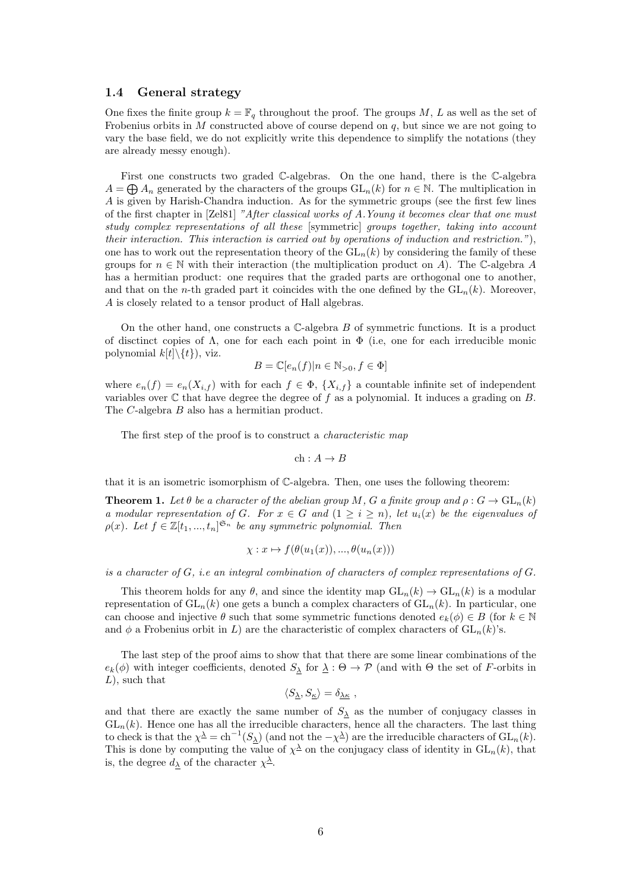#### 1.4 General strategy

One fixes the finite group  $k = \mathbb{F}_q$  throughout the proof. The groups  $M$ ,  $L$  as well as the set of Frobenius orbits in  $M$  constructed above of course depend on  $q$ , but since we are not going to vary the base field, we do not explicitly write this dependence to simplify the notations (they are already messy enough).

First one constructs two graded C-algebras. On the one hand, there is the C-algebra  $A = \bigoplus A_n$  generated by the characters of the groups  $GL_n(k)$  for  $n \in \mathbb{N}$ . The multiplication in A is given by Harish-Chandra induction. As for the symmetric groups (see the first few lines of the first chapter in [Zel81] "After classical works of A.Young it becomes clear that one must study complex representations of all these [symmetric] groups together, taking into account their interaction. This interaction is carried out by operations of induction and restriction."), one has to work out the representation theory of the  $GL_n(k)$  by considering the family of these groups for  $n \in \mathbb{N}$  with their interaction (the multiplication product on A). The C-algebra A has a hermitian product: one requires that the graded parts are orthogonal one to another, and that on the n-th graded part it coincides with the one defined by the  $GL_n(k)$ . Moreover, A is closely related to a tensor product of Hall algebras.

On the other hand, one constructs a  $\mathbb C$ -algebra B of symmetric functions. It is a product of disctinct copies of  $\Lambda$ , one for each each point in  $\Phi$  (i.e, one for each irreducible monic polynomial  $k[t]\setminus\{t\}$ , viz.

$$
B = \mathbb{C}[e_n(f)|n \in \mathbb{N}_{>0}, f \in \Phi]
$$

where  $e_n(f) = e_n(X_{i,f})$  with for each  $f \in \Phi$ ,  $\{X_{i,f}\}\$ a countable infinite set of independent variables over  $\mathbb C$  that have degree the degree of f as a polynomial. It induces a grading on B. The C-algebra B also has a hermitian product.

The first step of the proof is to construct a *characteristic map* 

$$
\ch:A\to B
$$

that it is an isometric isomorphism of C-algebra. Then, one uses the following theorem:

**Theorem 1.** Let  $\theta$  be a character of the abelian group M, G a finite group and  $\rho: G \to GL_n(k)$ a modular representation of G. For  $x \in G$  and  $(1 \geq i \geq n)$ , let  $u_i(x)$  be the eigenvalues of  $\rho(x)$ . Let  $f \in \mathbb{Z}[t_1, ..., t_n]^{\mathfrak{S}_n}$  be any symmetric polynomial. Then

$$
\chi: x \mapsto f(\theta(u_1(x)), \dots, \theta(u_n(x)))
$$

is a character of  $G$ , i.e an integral combination of characters of complex representations of  $G$ .

This theorem holds for any  $\theta$ , and since the identity map  $GL_n(k) \to GL_n(k)$  is a modular representation of  $GL_n(k)$  one gets a bunch a complex characters of  $GL_n(k)$ . In particular, one can choose and injective  $\theta$  such that some symmetric functions denoted  $e_k(\phi) \in B$  (for  $k \in \mathbb{N}$ and  $\phi$  a Frobenius orbit in L) are the characteristic of complex characters of  $GL_n(k)$ 's.

The last step of the proof aims to show that that there are some linear combinations of the  $e_k(\phi)$  with integer coefficients, denoted  $S_\lambda$  for  $\lambda : \Theta \to \mathcal{P}$  (and with  $\Theta$  the set of F-orbits in  $L$ , such that

$$
\langle S_{\underline{\lambda}}, S_{\underline{\kappa}} \rangle = \delta_{\underline{\lambda}\underline{\kappa}} \ ,
$$

and that there are exactly the same number of  $S_{\lambda}$  as the number of conjugacy classes in  $GL_n(k)$ . Hence one has all the irreducible characters, hence all the characters. The last thing to check is that the  $\chi^{\underline{\lambda}} = \text{ch}^{-1}(S_{\underline{\lambda}})$  (and not the  $-\chi^{\underline{\lambda}}$ ) are the irreducible characters of  $\text{GL}_n(k)$ . This is done by computing the value of  $\chi^{\underline{\lambda}}$  on the conjugacy class of identity in  $GL_n(k)$ , that is, the degree  $d_{\lambda}$  of the character  $\chi^{\underline{\lambda}}$ .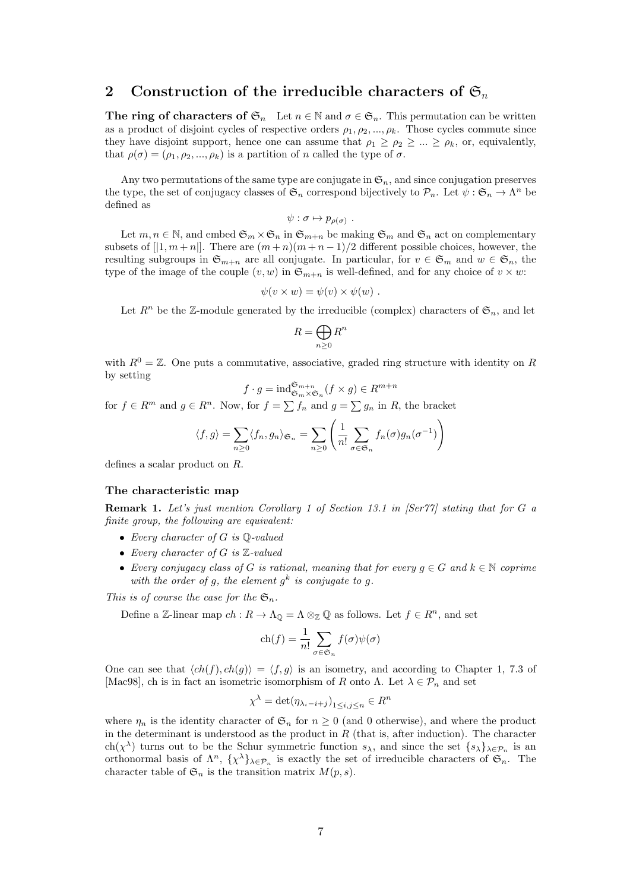### 2 Construction of the irreducible characters of  $\mathfrak{S}_n$

The ring of characters of  $\mathfrak{S}_n$  Let  $n \in \mathbb{N}$  and  $\sigma \in \mathfrak{S}_n$ . This permutation can be written as a product of disjoint cycles of respective orders  $\rho_1, \rho_2, ..., \rho_k$ . Those cycles commute since they have disjoint support, hence one can assume that  $\rho_1 \ge \rho_2 \ge ... \ge \rho_k$ , or, equivalently, that  $\rho(\sigma) = (\rho_1, \rho_2, ..., \rho_k)$  is a partition of n called the type of  $\sigma$ .

Any two permutations of the same type are conjugate in  $\mathfrak{S}_n$ , and since conjugation preserves the type, the set of conjugacy classes of  $\mathfrak{S}_n$  correspond bijectively to  $\mathcal{P}_n$ . Let  $\psi : \mathfrak{S}_n \to \Lambda^n$  be defined as

$$
\psi : \sigma \mapsto p_{\rho(\sigma)} \; .
$$

Let  $m, n \in \mathbb{N}$ , and embed  $\mathfrak{S}_m \times \mathfrak{S}_n$  in  $\mathfrak{S}_{m+n}$  be making  $\mathfrak{S}_m$  and  $\mathfrak{S}_n$  act on complementary subsets of  $[|1, m+n|]$ . There are  $(m+n)(m+n-1)/2$  different possible choices, however, the resulting subgroups in  $\mathfrak{S}_{m+n}$  are all conjugate. In particular, for  $v \in \mathfrak{S}_m$  and  $w \in \mathfrak{S}_n$ , the type of the image of the couple  $(v, w)$  in  $\mathfrak{S}_{m+n}$  is well-defined, and for any choice of  $v \times w$ :

$$
\psi(v \times w) = \psi(v) \times \psi(w) .
$$

Let  $R^n$  be the Z-module generated by the irreducible (complex) characters of  $\mathfrak{S}_n$ , and let

$$
R = \bigoplus_{n \ge 0} R^n
$$

with  $R^0 = \mathbb{Z}$ . One puts a commutative, associative, graded ring structure with identity on R by setting

$$
f \cdot g = \operatorname{ind}_{\mathfrak{S}_m \times \mathfrak{S}_n}^{\mathfrak{S}_{m+n}} (f \times g) \in R^{m+n}
$$

for  $f \in \mathbb{R}^m$  and  $g \in \mathbb{R}^n$ . Now, for  $f = \sum f_n$  and  $g = \sum g_n$  in R, the bracket

$$
\langle f, g \rangle = \sum_{n \ge 0} \langle f_n, g_n \rangle_{\mathfrak{S}_n} = \sum_{n \ge 0} \left( \frac{1}{n!} \sum_{\sigma \in \mathfrak{S}_n} f_n(\sigma) g_n(\sigma^{-1}) \right)
$$

defines a scalar product on R.

#### The characteristic map

Remark 1. Let's just mention Corollary 1 of Section 13.1 in [Ser77] stating that for G a finite group, the following are equivalent:

- Every character of  $G$  is  $\mathbb{Q}\text{-}valued$
- Every character of G is Z-valued
- Every conjugacy class of G is rational, meaning that for every  $g \in G$  and  $k \in \mathbb{N}$  coprime with the order of g, the element  $g^k$  is conjugate to g.

This is of course the case for the  $\mathfrak{S}_n$ .

Define a Z-linear map  $ch: R \to \Lambda_{\mathbb{Q}} = \Lambda \otimes_{\mathbb{Z}} \mathbb{Q}$  as follows. Let  $f \in R^n$ , and set

$$
\operatorname{ch}(f) = \frac{1}{n!} \sum_{\sigma \in \mathfrak{S}_n} f(\sigma) \psi(\sigma)
$$

One can see that  $\langle ch(f), ch(g) \rangle = \langle f, g \rangle$  is an isometry, and according to Chapter 1, 7.3 of [Mac98], ch is in fact an isometric isomorphism of R onto  $\Lambda$ . Let  $\lambda \in \mathcal{P}_n$  and set

$$
\chi^{\lambda} = \det(\eta_{\lambda_i - i + j})_{1 \le i, j \le n} \in R^n
$$

where  $\eta_n$  is the identity character of  $\mathfrak{S}_n$  for  $n \geq 0$  (and 0 otherwise), and where the product in the determinant is understood as the product in  $R$  (that is, after induction). The character ch( $\chi^{\lambda}$ ) turns out to be the Schur symmetric function  $s_{\lambda}$ , and since the set  $\{s_{\lambda}\}_{\lambda\in\mathcal{P}_n}$  is an orthonormal basis of  $\Lambda^n$ ,  $\{\chi^\lambda\}_{\lambda \in \mathcal{P}_n}$  is exactly the set of irreducible characters of  $\mathfrak{S}_n$ . The character table of  $\mathfrak{S}_n$  is the transition matrix  $M(p, s)$ .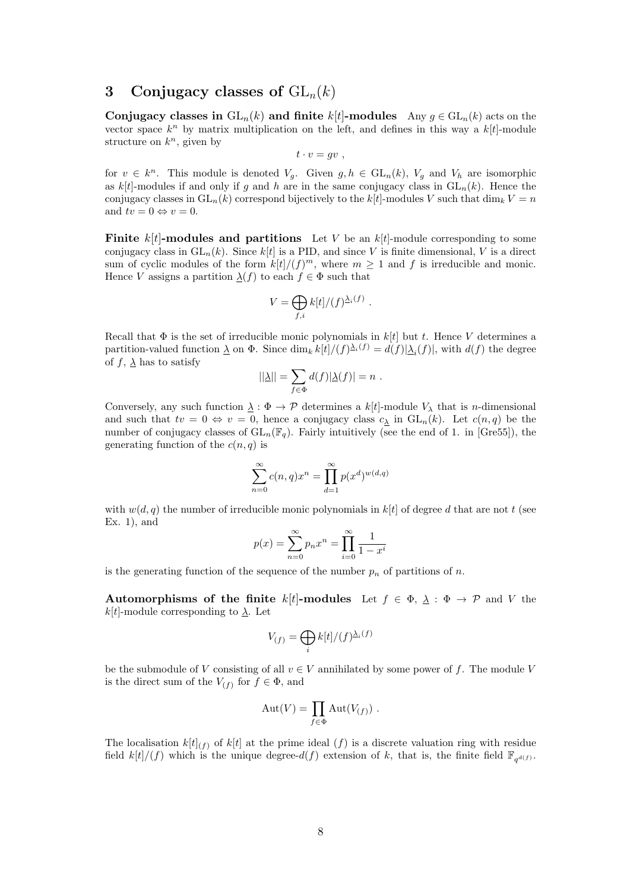### 3 Conjugacy classes of  $GL_n(k)$

Conjugacy classes in  $GL_n(k)$  and finite k[t]-modules Any  $g \in GL_n(k)$  acts on the vector space  $k^n$  by matrix multiplication on the left, and defines in this way a  $k[t]$ -module structure on  $k^n$ , given by

$$
t\cdot v = gv ,
$$

for  $v \in k^n$ . This module is denoted  $V_g$ . Given  $g, h \in GL_n(k)$ ,  $V_g$  and  $V_h$  are isomorphic as k[t]-modules if and only if g and h are in the same conjugacy class in  $GL_n(k)$ . Hence the conjugacy classes in  $GL_n(k)$  correspond bijectively to the  $k[t]$ -modules V such that  $\dim_k V = n$ and  $tv = 0 \Leftrightarrow v = 0$ .

**Finite** k[t]-**modules and partitions** Let V be an k[t]-module corresponding to some conjugacy class in  $GL_n(k)$ . Since  $k[t]$  is a PID, and since V is finite dimensional, V is a direct sum of cyclic modules of the form  $k[t]/(f)^m$ , where  $m \geq 1$  and f is irreducible and monic. Hence V assigns a partition  $\underline{\lambda}(f)$  to each  $f \in \Phi$  such that

$$
V = \bigoplus_{f,i} k[t]/(f)^{\underline{\lambda}_i(f)}.
$$

Recall that  $\Phi$  is the set of irreducible monic polynomials in  $k[t]$  but t. Hence V determines a partition-valued function  $\Delta$  on  $\Phi$ . Since  $\dim_k k[t]/(f)^{\Delta_i(f)} = d(f)|\Delta_i(f)|$ , with  $d(f)$  the degree of  $f$ ,  $\lambda$  has to satisfy

$$
||\underline{\lambda}|| = \sum_{f \in \Phi} d(f)|\underline{\lambda}(f)| = n.
$$

Conversely, any such function  $\underline{\lambda} : \Phi \to \mathcal{P}$  determines a  $k[t]$ -module  $V_{\lambda}$  that is *n*-dimensional and such that  $tv = 0 \Leftrightarrow v = 0$ , hence a conjugacy class  $c_{\underline{\lambda}}$  in  $GL_n(k)$ . Let  $c(n, q)$  be the number of conjugacy classes of  $GL_n(\mathbb{F}_q)$ . Fairly intuitively (see the end of 1. in [Gre55]), the generating function of the  $c(n, q)$  is

$$
\sum_{n=0}^{\infty} c(n,q)x^n = \prod_{d=1}^{\infty} p(x^d)^{w(d,q)}
$$

with  $w(d, q)$  the number of irreducible monic polynomials in k[t] of degree d that are not t (see Ex. 1), and

$$
p(x) = \sum_{n=0}^{\infty} p_n x^n = \prod_{i=0}^{\infty} \frac{1}{1 - x^i}
$$

is the generating function of the sequence of the number  $p_n$  of partitions of n.

Automorphisms of the finite k[t]-modules Let  $f \in \Phi$ ,  $\lambda : \Phi \to \mathcal{P}$  and V the  $k[t]$ -module corresponding to  $\lambda$ . Let

$$
V_{(f)}=\bigoplus_i k[t]/(f)^{\underline{\lambda}_i(f)}
$$

be the submodule of V consisting of all  $v \in V$  annihilated by some power of f. The module V is the direct sum of the  $V_{(f)}$  for  $f \in \Phi$ , and

$$
Aut(V) = \prod_{f \in \Phi} Aut(V_{(f)}) .
$$

The localisation  $k[t]_{(f)}$  of  $k[t]$  at the prime ideal  $(f)$  is a discrete valuation ring with residue field  $k[t]/(f)$  which is the unique degree- $d(f)$  extension of k, that is, the finite field  $\mathbb{F}_{q^{d(f)}}$ .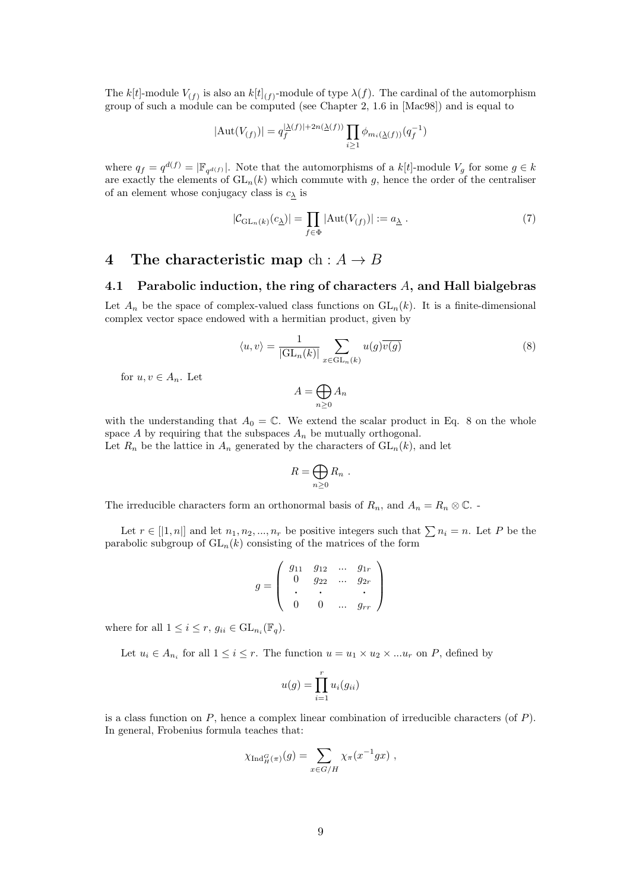The k[t]-module  $V_{(f)}$  is also an  $k[t]_{(f)}$ -module of type  $\lambda(f)$ . The cardinal of the automorphism group of such a module can be computed (see Chapter 2, 1.6 in [Mac98]) and is equal to

$$
|\mathrm{Aut}(V_{(f)})|=q_f^{|\underline{\lambda}(f)|+2n(\underline{\lambda}(f))}\prod_{i\geq 1}\phi_{m_i(\underline{\lambda}(f))}(q_f^{-1})
$$

where  $q_f = q^{d(f)} = |\mathbb{F}_{q^{d(f)}}|$ . Note that the automorphisms of a  $k[t]$ -module  $V_g$  for some  $g \in k$ are exactly the elements of  $GL_n(k)$  which commute with g, hence the order of the centraliser of an element whose conjugacy class is  $c_{\lambda}$  is

$$
|\mathcal{C}_{\mathrm{GL}_n(k)}(c_{\underline{\lambda}})| = \prod_{f \in \Phi} |\mathrm{Aut}(V_{(f)})| := a_{\underline{\lambda}}.
$$
 (7)

### 4 The characteristic map ch:  $A \rightarrow B$

### 4.1 Parabolic induction, the ring of characters  $A$ , and Hall bialgebras

Let  $A_n$  be the space of complex-valued class functions on  $GL_n(k)$ . It is a finite-dimensional complex vector space endowed with a hermitian product, given by

$$
\langle u, v \rangle = \frac{1}{|\mathrm{GL}_n(k)|} \sum_{x \in \mathrm{GL}_n(k)} u(g) \overline{v(g)} \tag{8}
$$

for  $u, v \in A_n$ . Let

$$
A = \bigoplus_{n \ge 0} A_n
$$

with the understanding that  $A_0 = \mathbb{C}$ . We extend the scalar product in Eq. 8 on the whole space A by requiring that the subspaces  $A_n$  be mutually orthogonal. Let  $R_n$  be the lattice in  $A_n$  generated by the characters of  $GL_n(k)$ , and let

$$
R=\bigoplus_{n\geq 0}R_n.
$$

The irreducible characters form an orthonormal basis of  $R_n$ , and  $A_n = R_n \otimes \mathbb{C}$ .

Let  $r \in [1, n]$  and let  $n_1, n_2, ..., n_r$  be positive integers such that  $\sum n_i = n$ . Let P be the parabolic subgroup of  $GL_n(k)$  consisting of the matrices of the form

$$
g = \left( \begin{array}{cccc} g_{11} & g_{12} & \dots & g_{1r} \\ 0 & g_{22} & \dots & g_{2r} \\ \vdots & \vdots & & \vdots \\ 0 & 0 & \dots & g_{rr} \end{array} \right)
$$

where for all  $1 \leq i \leq r$ ,  $g_{ii} \in GL_{n_i}(\mathbb{F}_q)$ .

Let  $u_i \in A_{n_i}$  for all  $1 \leq i \leq r$ . The function  $u = u_1 \times u_2 \times \ldots \times u_r$  on P, defined by

$$
u(g) = \prod_{i=1}^{r} u_i(g_{ii})
$$

is a class function on  $P$ , hence a complex linear combination of irreducible characters (of  $P$ ). In general, Frobenius formula teaches that:

$$
\chi_{\mathrm{Ind}_{H}^{G}(\pi)}(g) = \sum_{x \in G/H} \chi_{\pi}(x^{-1}gx) ,
$$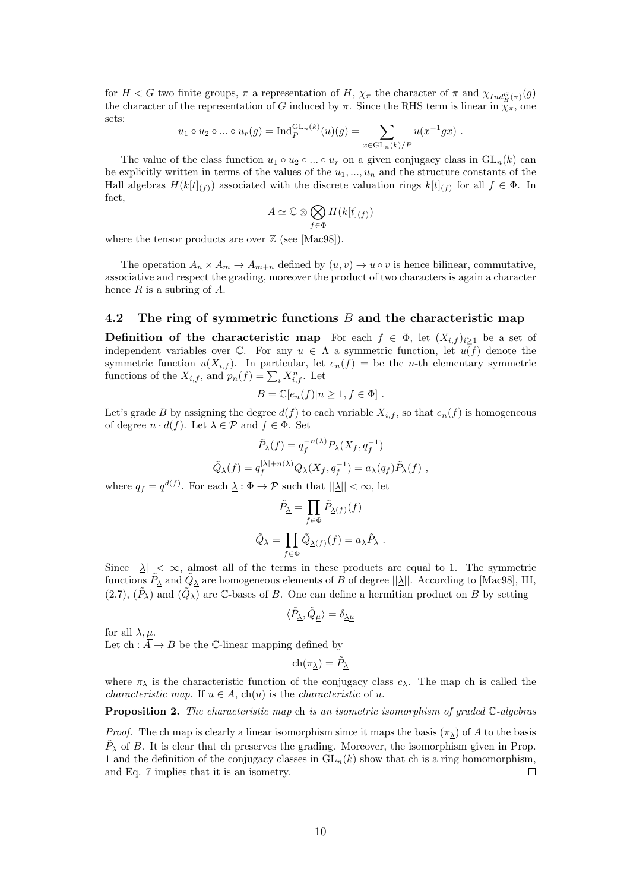for  $H < G$  two finite groups,  $\pi$  a representation of H,  $\chi_{\pi}$  the character of  $\pi$  and  $\chi_{Ind_H^G(\pi)}(g)$ the character of the representation of G induced by  $\pi$ . Since the RHS term is linear in  $\chi_{\pi}$ , one sets:

$$
u_1 \circ u_2 \circ ... \circ u_r(g) = \text{Ind}_P^{\text{GL}_n(k)}(u)(g) = \sum_{x \in \text{GL}_n(k)/P} u(x^{-1}gx).
$$

The value of the class function  $u_1 \circ u_2 \circ ... \circ u_r$  on a given conjugacy class in  $GL_n(k)$  can be explicitly written in terms of the values of the  $u_1, \ldots, u_n$  and the structure constants of the Hall algebras  $H(k[t]_{(f)})$  associated with the discrete valuation rings  $k[t]_{(f)}$  for all  $f \in \Phi$ . In fact,

$$
A \simeq \mathbb{C} \otimes \bigotimes_{f \in \Phi} H(k[t]_{(f)})
$$

where the tensor products are over  $\mathbb{Z}$  (see [Mac98]).

The operation  $A_n \times A_m \to A_{m+n}$  defined by  $(u, v) \to u \circ v$  is hence bilinear, commutative, associative and respect the grading, moreover the product of two characters is again a character hence  $R$  is a subring of  $A$ .

### 4.2 The ring of symmetric functions  $B$  and the characteristic map

**Definition of the characteristic map** For each  $f \in \Phi$ , let  $(X_{i,f})_{i\geq 1}$  be a set of independent variables over  $\mathbb C$ . For any  $u \in \Lambda$  a symmetric function, let  $u(f)$  denote the symmetric function  $u(X_{i,f})$ . In particular, let  $e_n(f) =$  be the *n*-th elementary symmetric functions of the  $X_{i,f}$ , and  $p_n(f) = \sum_i X_{i,f}^n$ . Let

$$
B = \mathbb{C}[e_n(f)|n \ge 1, f \in \Phi].
$$

Let's grade B by assigning the degree  $d(f)$  to each variable  $X_{i,f}$ , so that  $e_n(f)$  is homogeneous of degree  $n \cdot d(f)$ . Let  $\lambda \in \mathcal{P}$  and  $f \in \Phi$ . Set

$$
\tilde{P}_{\lambda}(f) = q_f^{-n(\lambda)} P_{\lambda}(X_f, q_f^{-1})
$$
  

$$
\tilde{Q}_{\lambda}(f) = q_f^{|\lambda|+n(\lambda)} Q_{\lambda}(X_f, q_f^{-1}) = a_{\lambda}(q_f) \tilde{P}_{\lambda}(f) ,
$$

where  $q_f = q^{d(f)}$ . For each  $\underline{\lambda} : \Phi \to \mathcal{P}$  such that  $||\underline{\lambda}|| < \infty$ , let

$$
\label{eq:11} \begin{gathered} \tilde{P}_{\underline{\lambda}} = \prod_{f \in \Phi} \tilde{P}_{\underline{\lambda}(f)}(f) \\ \tilde{Q}_{\underline{\lambda}} = \prod_{f \in \Phi} \tilde{Q}_{\underline{\lambda}(f)}(f) = a_{\underline{\lambda}} \tilde{P}_{\underline{\lambda}} \; . \end{gathered}
$$

Since  $||\underline{\lambda}|| < \infty$ , almost all of the terms in these products are equal to 1. The symmetric functions  $P_{\lambda}$  and  $\tilde{Q}_{\lambda}$  are homogeneous elements of B of degree  $||\lambda||$ . According to [Mac98], III, (2.7),  $(\tilde{P}_\lambda)$  and  $(\tilde{Q}_\lambda)$  are C-bases of B. One can define a hermitian product on B by setting

$$
\langle \tilde{P}_{\underline{\lambda}}, \tilde{Q}_\mu \rangle = \delta_{\underline{\lambda} \mu}
$$

for all  $\lambda, \mu$ . Let ch :  $\overline{A} \rightarrow B$  be the C-linear mapping defined by

$$
\mathrm{ch}(\pi_{\underline{\lambda}}) = \tilde{P}_{\underline{\lambda}}
$$

where  $\pi_{\lambda}$  is the characteristic function of the conjugacy class  $c_{\lambda}$ . The map ch is called the *characteristic map.* If  $u \in A$ ,  $ch(u)$  is the *characteristic* of u.

Proposition 2. The characteristic map ch is an isometric isomorphism of graded C-algebras

*Proof.* The ch map is clearly a linear isomorphism since it maps the basis  $(\pi_{\lambda})$  of A to the basis  $\tilde{P}_{\lambda}$  of B. It is clear that ch preserves the grading. Moreover, the isomorphism given in Prop. 1 and the definition of the conjugacy classes in  $GL_n(k)$  show that ch is a ring homomorphism, and Eq. 7 implies that it is an isometry. П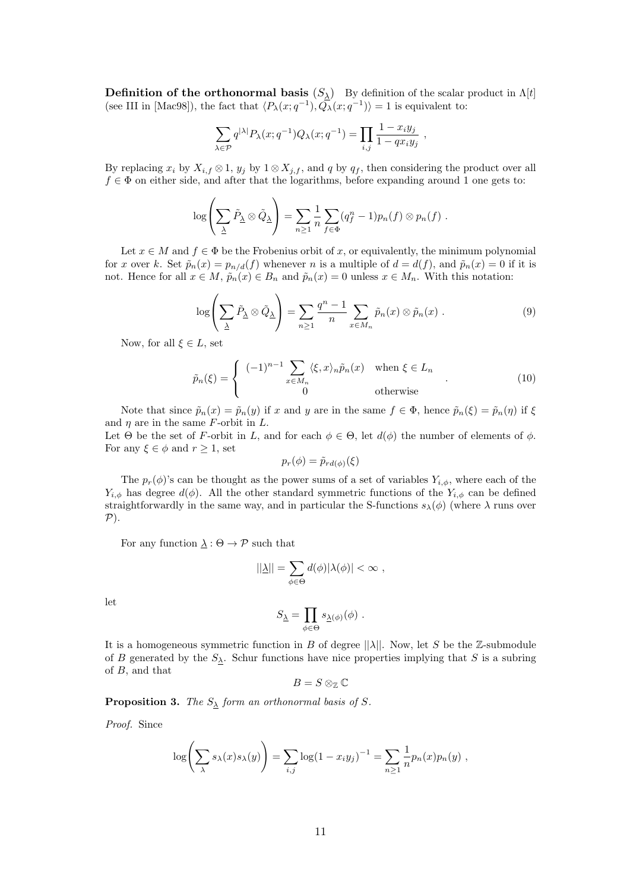**Definition of the orthonormal basis**  $(S_{\lambda})$  By definition of the scalar product in  $\Lambda[t]$ (see III in [Mac98]), the fact that  $\langle P_{\lambda}(x; q^{-1}), \overline{Q_{\lambda}}(x; q^{-1}) \rangle = 1$  is equivalent to:

$$
\sum_{\lambda \in \mathcal{P}} q^{|\lambda|} P_{\lambda}(x; q^{-1}) Q_{\lambda}(x; q^{-1}) = \prod_{i,j} \frac{1 - x_i y_j}{1 - q x_i y_j} ,
$$

By replacing  $x_i$  by  $X_{i,f} \otimes 1$ ,  $y_j$  by  $1 \otimes X_{j,f}$ , and q by  $q_f$ , then considering the product over all  $f \in \Phi$  on either side, and after that the logarithms, before expanding around 1 one gets to:

$$
\log\left(\sum_{\underline{\lambda}}\tilde{P}_{\underline{\lambda}}\otimes \tilde{Q}_{\underline{\lambda}}\right)=\sum_{n\geq 1}\frac{1}{n}\sum_{f\in \Phi}(q_f^n-1)p_n(f)\otimes p_n(f).
$$

Let  $x \in M$  and  $f \in \Phi$  be the Frobenius orbit of x, or equivalently, the minimum polynomial for x over k. Set  $\tilde{p}_n(x) = p_{n/d}(f)$  whenever n is a multiple of  $d = d(f)$ , and  $\tilde{p}_n(x) = 0$  if it is not. Hence for all  $x \in M$ ,  $\tilde{p}_n(x) \in B_n$  and  $\tilde{p}_n(x) = 0$  unless  $x \in M_n$ . With this notation:

$$
\log\left(\sum_{\underline{\lambda}}\tilde{P}_{\underline{\lambda}}\otimes\tilde{Q}_{\underline{\lambda}}\right) = \sum_{n\geq 1}\frac{q^n-1}{n}\sum_{x\in M_n}\tilde{p}_n(x)\otimes\tilde{p}_n(x) . \tag{9}
$$

Now, for all  $\xi \in L$ , set

$$
\tilde{p}_n(\xi) = \begin{cases}\n(-1)^{n-1} \sum_{x \in M_n} \langle \xi, x \rangle_n \tilde{p}_n(x) & \text{when } \xi \in L_n \\
0 & \text{otherwise}\n\end{cases} (10)
$$

Note that since  $\tilde{p}_n(x) = \tilde{p}_n(y)$  if x and y are in the same  $f \in \Phi$ , hence  $\tilde{p}_n(\xi) = \tilde{p}_n(\eta)$  if  $\xi$ and  $\eta$  are in the same F-orbit in L.

Let  $\Theta$  be the set of F-orbit in L, and for each  $\phi \in \Theta$ , let  $d(\phi)$  the number of elements of  $\phi$ . For any  $\xi \in \phi$  and  $r > 1$ , set

$$
p_r(\phi) = \tilde{p}_{rd(\phi)}(\xi)
$$

The  $p_r(\phi)$ 's can be thought as the power sums of a set of variables  $Y_{i,\phi}$ , where each of the  $Y_{i,\phi}$  has degree  $d(\phi)$ . All the other standard symmetric functions of the  $Y_{i,\phi}$  can be defined straightforwardly in the same way, and in particular the S-functions  $s_{\lambda}(\phi)$  (where  $\lambda$  runs over  $P$ ).

For any function  $\lambda : \Theta \to \mathcal{P}$  such that

$$
||\underline{\lambda}|| = \sum_{\phi \in \Theta} d(\phi) |\lambda(\phi)| < \infty ,
$$

let

$$
S_{\underline{\lambda}} = \prod_{\phi \in \Theta} s_{\underline{\lambda}(\phi)}(\phi) \ .
$$

It is a homogeneous symmetric function in B of degree  $||\lambda||$ . Now, let S be the Z-submodule of B generated by the  $S_{\lambda}$ . Schur functions have nice properties implying that S is a subring of B, and that

$$
B=S\otimes_{\mathbb{Z}}\mathbb{C}
$$

**Proposition 3.** The  $S_{\lambda}$  form an orthonormal basis of S.

Proof. Since

$$
\log\left(\sum_{\lambda} s_{\lambda}(x) s_{\lambda}(y)\right) = \sum_{i,j} \log(1 - x_i y_j)^{-1} = \sum_{n \ge 1} \frac{1}{n} p_n(x) p_n(y) ,
$$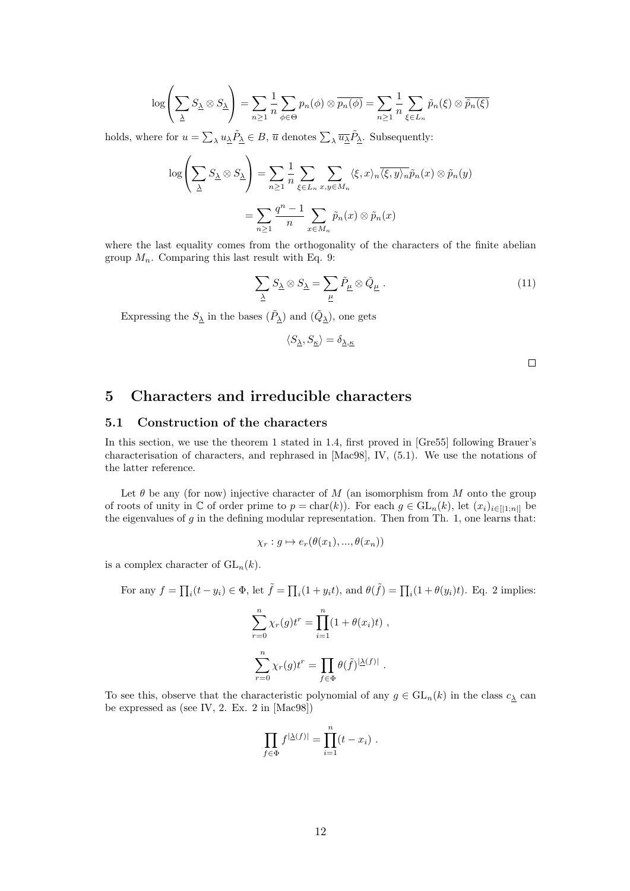$$
\log\left(\sum_{\underline{\lambda}} S_{\underline{\lambda}} \otimes S_{\underline{\lambda}}\right) = \sum_{n\geq 1} \frac{1}{n} \sum_{\phi \in \Theta} p_n(\phi) \otimes \overline{p_n(\phi)} = \sum_{n\geq 1} \frac{1}{n} \sum_{\xi \in L_n} \tilde{p}_n(\xi) \otimes \overline{\tilde{p}_n(\xi)}
$$

holds, where for  $u = \sum_{\lambda} u_{\lambda} \tilde{P}_{\lambda} \in B$ ,  $\overline{u}$  denotes  $\sum_{\lambda} \overline{u_{\lambda}} \tilde{P}_{\lambda}$ . Subsequently:

$$
\log\left(\sum_{\Delta} S_{\Delta} \otimes S_{\Delta}\right) = \sum_{n\geq 1} \frac{1}{n} \sum_{\xi \in L_n} \sum_{x,y \in M_n} \langle \xi, x \rangle_n \overline{\langle \xi, y \rangle_n} \tilde{p}_n(x) \otimes \tilde{p}_n(y)
$$

$$
= \sum_{n\geq 1} \frac{q^n - 1}{n} \sum_{x \in M_n} \tilde{p}_n(x) \otimes \tilde{p}_n(x)
$$

where the last equality comes from the orthogonality of the characters of the finite abelian group  $M_n$ . Comparing this last result with Eq. 9:

$$
\sum_{\underline{\lambda}} S_{\underline{\lambda}} \otimes S_{\underline{\lambda}} = \sum_{\underline{\mu}} \tilde{P}_{\underline{\mu}} \otimes \tilde{Q}_{\underline{\mu}} . \tag{11}
$$

Expressing the  $S_{\underline{\lambda}}$  in the bases  $(\tilde{P}_{\underline{\lambda}})$  and  $(\tilde{Q}_{\underline{\lambda}})$ , one gets

$$
\langle S_{\underline{\lambda}}, S_{\underline{\kappa}} \rangle = \delta_{\underline{\lambda}, \underline{\kappa}}
$$

 $\Box$ 

### 5 Characters and irreducible characters

### 5.1 Construction of the characters

In this section, we use the theorem 1 stated in 1.4, first proved in [Gre55] following Brauer's characterisation of characters, and rephrased in [Mac98], IV, (5.1). We use the notations of the latter reference.

Let  $\theta$  be any (for now) injective character of M (an isomorphism from M onto the group of roots of unity in  $\mathbb C$  of order prime to  $p = \text{char}(k)$ . For each  $g \in \text{GL}_n(k)$ , let  $(x_i)_{i \in [1]:n|}$  be the eigenvalues of  $g$  in the defining modular representation. Then from Th. 1, one learns that:

$$
\chi_r : g \mapsto e_r(\theta(x_1), ..., \theta(x_n))
$$

is a complex character of  $GL_n(k)$ .

For any 
$$
f = \prod_i (t - y_i) \in \Phi
$$
, let  $\tilde{f} = \prod_i (1 + y_i t)$ , and  $\theta(\tilde{f}) = \prod_i (1 + \theta(y_i)t)$ . Eq. 2 implies:

$$
\sum_{r=0}^{n} \chi_r(g)t^r = \prod_{i=1}^{n} (1 + \theta(x_i)t),
$$
  

$$
\sum_{r=0}^{n} \chi_r(g)t^r = \prod_{f \in \Phi} \theta(f)^{|\Delta(f)|}.
$$

To see this, observe that the characteristic polynomial of any  $g \in GL_n(k)$  in the class  $c_{\underline{\lambda}}$  can be expressed as (see IV, 2. Ex. 2 in [Mac98])

$$
\prod_{f \in \Phi} f^{|\underline{\lambda}(f)|} = \prod_{i=1}^n (t - x_i) .
$$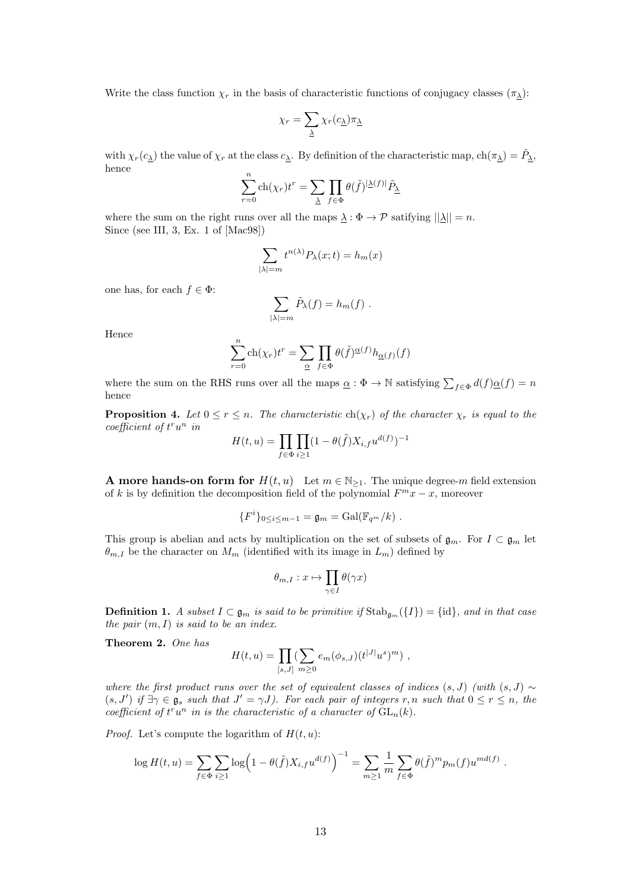Write the class function  $\chi_r$  in the basis of characteristic functions of conjugacy classes  $(\pi_\lambda)$ :

$$
\chi_r = \sum_{\underline{\lambda}} \chi_r(c_{\underline{\lambda}}) \pi_{\underline{\lambda}}
$$

with  $\chi_r(c_\lambda)$  the value of  $\chi_r$  at the class  $c_\lambda$ . By definition of the characteristic map,  $\text{ch}(\pi_\lambda) = \tilde{P}_\lambda$ , hence

$$
\sum_{r=0}^{n} \text{ch}(\chi_r) t^r = \sum_{\underline{\lambda}} \prod_{f \in \Phi} \theta(\tilde{f})^{|\underline{\lambda}(f)|} \tilde{P}_{\underline{\lambda}}
$$

where the sum on the right runs over all the maps  $\lambda : \Phi \to \mathcal{P}$  satifying  $||\lambda|| = n$ . Since (see III, 3, Ex. 1 of [Mac98])

$$
\sum_{|\lambda|=m} t^{n(\lambda)} P_{\lambda}(x;t) = h_m(x)
$$

one has, for each  $f \in \Phi$ :

$$
\sum_{|\lambda|=m}\tilde{P}_{\lambda}(f)=h_m(f).
$$

Hence

$$
\sum_{r=0}^{n} \text{ch}(\chi_r) t^r = \sum_{\underline{\alpha}} \prod_{f \in \Phi} \theta(\tilde{f})^{\underline{\alpha}(f)} h_{\underline{\alpha}(f)}(f)
$$

where the sum on the RHS runs over all the maps  $\underline{\alpha} : \Phi \to \mathbb{N}$  satisfying  $\sum_{f \in \Phi} d(f) \underline{\alpha}(f) = n$ hence

**Proposition 4.** Let  $0 \le r \le n$ . The characteristic ch( $\chi_r$ ) of the character  $\chi_r$  is equal to the  $coefficient of t<sup>r</sup>u<sup>n</sup>$  in

$$
H(t, u) = \prod_{f \in \Phi} \prod_{i \ge 1} (1 - \theta(\tilde{f}) X_{i, f} u^{d(f)})^{-1}
$$

**A** more hands-on form for  $H(t, u)$  Let  $m \in \mathbb{N}_{\geq 1}$ . The unique degree-m field extension of k is by definition the decomposition field of the polynomial  $F^m x - x$ , moreover

$$
{Fi}0\leq i\leq m-1 = \mathfrak{g}_m = \mathrm{Gal}(\mathbb{F}_{q^m}/k) .
$$

This group is abelian and acts by multiplication on the set of subsets of  $\mathfrak{g}_m$ . For  $I \subset \mathfrak{g}_m$  let  $\theta_{m,I}$  be the character on  $M_m$  (identified with its image in  $L_m$ ) defined by

$$
\theta_{m,I}:x\mapsto \prod_{\gamma\in I}\theta(\gamma x)
$$

**Definition 1.** A subset  $I \subset \mathfrak{g}_m$  is said to be primitive if  $\text{Stab}_{\mathfrak{g}_m}(\{I\}) = \{\text{id}\},\$ and in that case the pair  $(m, I)$  is said to be an index.

Theorem 2. One has

$$
H(t, u) = \prod_{[s, J]} (\sum_{m \ge 0} e_m(\phi_{s, J})(t^{|J|} u^s)^m) ,
$$

where the first product runs over the set of equivalent classes of indices  $(s, J)$  (with  $(s, J) \sim$  $(s, J')$  if  $\exists \gamma \in \mathfrak{g}_s$  such that  $J' = \gamma J$ ). For each pair of integers r, n such that  $0 \le r \le n$ , the coefficient of  $t^r u^n$  in is the characteristic of a character of  $GL_n(k)$ .

*Proof.* Let's compute the logarithm of  $H(t, u)$ :

$$
\log H(t, u) = \sum_{f \in \Phi} \sum_{i \ge 1} \log \left( 1 - \theta(\tilde{f}) X_{i, f} u^{d(f)} \right)^{-1} = \sum_{m \ge 1} \frac{1}{m} \sum_{f \in \Phi} \theta(\tilde{f})^m p_m(f) u^{md(f)}.
$$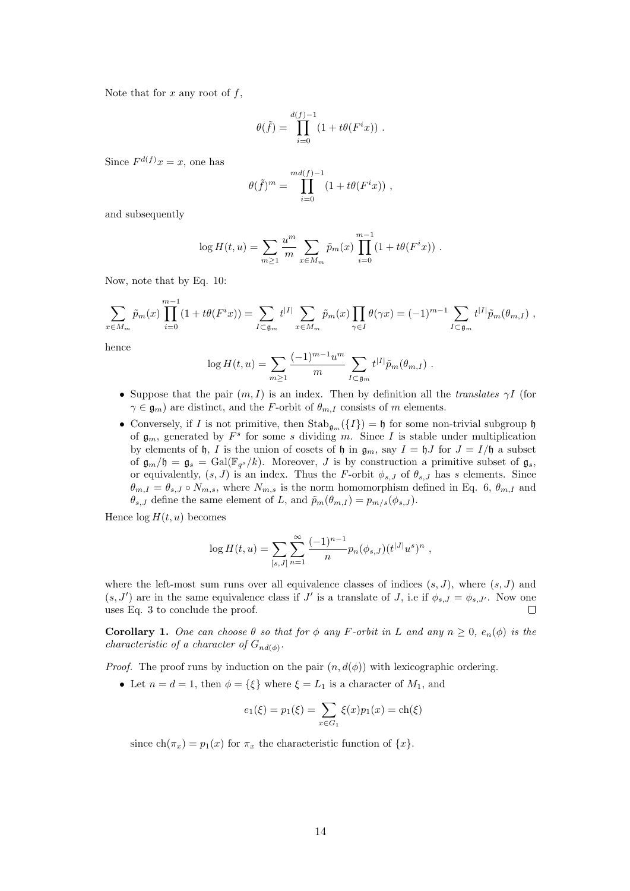Note that for  $x$  any root of  $f$ ,

$$
\theta(\tilde f) = \prod_{i=0}^{d(f)-1} \left(1+t\theta(F^i x)\right)\,.
$$

Since  $F^{d(f)}x=x$ , one has

$$
\theta(\tilde{f})^m = \prod_{i=0}^{md(f)-1} (1 + t\theta(F^i x)),
$$

and subsequently

$$
\log H(t, u) = \sum_{m \ge 1} \frac{u^m}{m} \sum_{x \in M_m} \tilde{p}_m(x) \prod_{i=0}^{m-1} (1 + t\theta(F^i x)) .
$$

Now, note that by Eq. 10:

$$
\sum_{x \in M_m} \tilde{p}_m(x) \prod_{i=0}^{m-1} (1 + t\theta(F^i x)) = \sum_{I \subset \mathfrak{g}_m} t^{|I|} \sum_{x \in M_m} \tilde{p}_m(x) \prod_{\gamma \in I} \theta(\gamma x) = (-1)^{m-1} \sum_{I \subset \mathfrak{g}_m} t^{|I|} \tilde{p}_m(\theta_{m,I}),
$$

hence

$$
\log H(t, u) = \sum_{m \ge 1} \frac{(-1)^{m-1} u^m}{m} \sum_{I \subset \mathfrak{g}_m} t^{|I|} \tilde{p}_m(\theta_{m, I}) \; .
$$

- Suppose that the pair  $(m, I)$  is an index. Then by definition all the translates  $\gamma I$  (for  $\gamma \in \mathfrak{g}_m$ ) are distinct, and the F-orbit of  $\theta_{m,I}$  consists of m elements.
- Conversely, if I is not primitive, then  $\text{Stab}_{\mathfrak{g}_m}(\{I\}) = \mathfrak{h}$  for some non-trivial subgroup  $\mathfrak{h}$ of  $\mathfrak{g}_m$ , generated by  $F^s$  for some s dividing m. Since I is stable under multiplication by elements of h, I is the union of cosets of h in  $\mathfrak{g}_m$ , say  $I = \mathfrak{h}J$  for  $J = I/\mathfrak{h}$  a subset of  $\mathfrak{g}_m/\mathfrak{h} = \mathfrak{g}_s = \text{Gal}(\mathbb{F}_{q^s}/k)$ . Moreover, J is by construction a primitive subset of  $\mathfrak{g}_s$ , or equivalently,  $(s, J)$  is an index. Thus the F-orbit  $\phi_{s,J}$  of  $\theta_{s,J}$  has s elements. Since  $\theta_{m,I} = \theta_{s,I} \circ N_{m,s}$ , where  $N_{m,s}$  is the norm homomorphism defined in Eq. 6,  $\theta_{m,I}$  and  $\theta_{s,J}$  define the same element of L, and  $\tilde{p}_m(\theta_{m,I}) = p_{m/s}(\phi_{s,J}).$

Hence  $\log H(t, u)$  becomes

$$
\log H(t, u) = \sum_{[s,J]} \sum_{n=1}^{\infty} \frac{(-1)^{n-1}}{n} p_n(\phi_{s,J}) (t^{|J|} u^s)^n,
$$

where the left-most sum runs over all equivalence classes of indices  $(s, J)$ , where  $(s, J)$  and  $(s, J')$  are in the same equivalence class if  $J'$  is a translate of J, i.e if  $\phi_{s,J} = \phi_{s,J'}$ . Now one uses Eq. 3 to conclude the proof. П

Corollary 1. One can choose  $\theta$  so that for  $\phi$  any F-orbit in L and any  $n \geq 0$ ,  $e_n(\phi)$  is the *characteristic of a character of*  $G_{nd(\phi)}$ .

*Proof.* The proof runs by induction on the pair  $(n, d(\phi))$  with lexicographic ordering.

• Let  $n = d = 1$ , then  $\phi = {\xi}$  where  $\xi = L_1$  is a character of  $M_1$ , and

$$
e_1(\xi) = p_1(\xi) = \sum_{x \in G_1} \xi(x) p_1(x) = \text{ch}(\xi)
$$

since  $ch(\pi_x) = p_1(x)$  for  $\pi_x$  the characteristic function of  $\{x\}$ .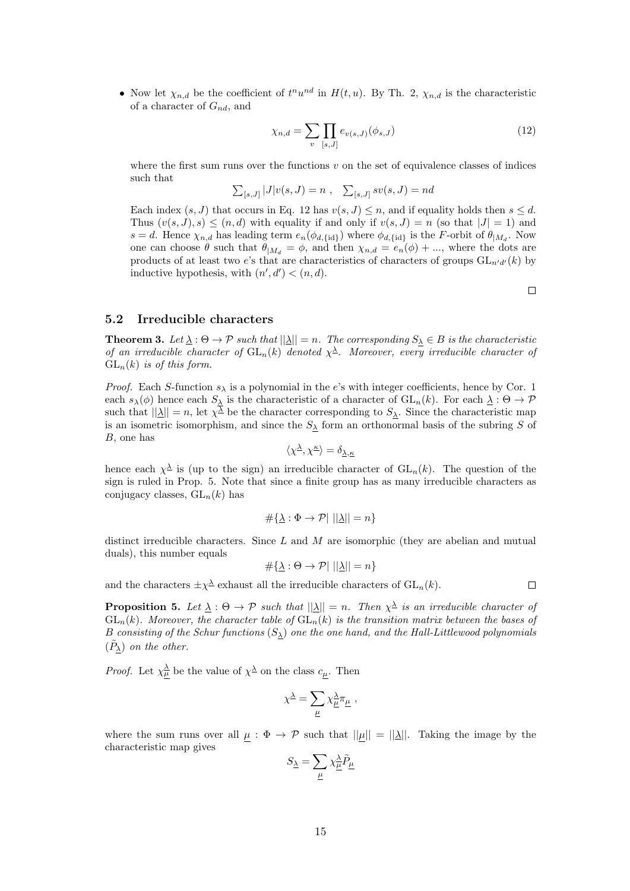• Now let  $\chi_{n,d}$  be the coefficient of  $t^n u^{nd}$  in  $H(t, u)$ . By Th. 2,  $\chi_{n,d}$  is the characteristic of a character of  $G_{nd}$ , and

$$
\chi_{n,d} = \sum_{v} \prod_{[s,J]} e_{v(s,J)}(\phi_{s,J})
$$
\n(12)

where the first sum runs over the functions  $v$  on the set of equivalence classes of indices such that

$$
\sum_{[s,J]} |J|v(s, J) = n
$$
,  $\sum_{[s,J]} sv(s, J) = nd$ 

Each index  $(s, J)$  that occurs in Eq. 12 has  $v(s, J) \leq n$ , and if equality holds then  $s \leq d$ . Thus  $(v(s, J), s) \leq (n, d)$  with equality if and only if  $v(s, J) = n$  (so that  $|J| = 1$ ) and  $s = d$ . Hence  $\chi_{n,d}$  has leading term  $e_n(\phi_{d,\text{tid}})$  where  $\phi_{d,\text{tid}}$  is the F-orbit of  $\theta_{|M_d}$ . Now one can choose  $\theta$  such that  $\theta_{|M_d} = \phi$ , and then  $\chi_{n,d} = e_n(\phi) + ...$ , where the dots are products of at least two e's that are characteristics of characters of groups  $GL_{n'd'}(k)$  by inductive hypothesis, with  $(n', d') < (n, d)$ .

 $\Box$ 

### 5.2 Irreducible characters

**Theorem 3.** Let  $\underline{\lambda}: \Theta \to \mathcal{P}$  such that  $||\underline{\lambda}|| = n$ . The corresponding  $S_{\underline{\lambda}} \in B$  is the characteristic of an irreducible character of  $GL_n(k)$  denoted  $\chi^{\underline{\lambda}}$ . Moreover, every irreducible character of  $GL_n(k)$  is of this form.

*Proof.* Each S-function  $s_{\lambda}$  is a polynomial in the e's with integer coefficients, hence by Cor. 1 each  $s_\lambda(\phi)$  hence each  $S_\lambda$  is the characteristic of a character of  $GL_n(k)$ . For each  $\underline{\lambda}: \Theta \to \mathcal{P}$ such that  $||\underline{\lambda}|| = n$ , let  $\chi^{\overline{\lambda}}$  be the character corresponding to  $S_{\lambda}$ . Since the characteristic map is an isometric isomorphism, and since the  $S_\lambda$  form an orthonormal basis of the subring S of B, one has

$$
\langle \chi^{\underline{\lambda}}, \chi^{\underline{\kappa}} \rangle = \delta_{\underline{\lambda}, \underline{\kappa}}
$$

hence each  $\chi^{\underline{\lambda}}$  is (up to the sign) an irreducible character of  $GL_n(k)$ . The question of the sign is ruled in Prop. 5. Note that since a finite group has as many irreducible characters as conjugacy classes,  $GL_n(k)$  has

$$
\#\{\underline{\lambda} : \Phi \to \mathcal{P} | \ ||\underline{\lambda}|| = n\}
$$

distinct irreducible characters. Since  $L$  and  $M$  are isomorphic (they are abelian and mutual duals), this number equals

$$
\#\{\underline{\lambda} : \Theta \to \mathcal{P} | \ ||\underline{\lambda}|| = n\}
$$

and the characters  $\pm \chi^{\underline{\lambda}}$  exhaust all the irreducible characters of  $GL_n(k)$ .

**Proposition 5.** Let  $\underline{\lambda}: \Theta \to \mathcal{P}$  such that  $||\underline{\lambda}|| = n$ . Then  $\chi^{\underline{\lambda}}$  is an irreducible character of  $GL_n(k)$ . Moreover, the character table of  $GL_n(k)$  is the transition matrix between the bases of B consisting of the Schur functions  $(S_{\lambda})$  one the one hand, and the Hall-Littlewood polynomials  $(\tilde{P}_\lambda)$  on the other.

*Proof.* Let  $\chi^{\underline{\lambda}}_{\mu}$  be the value of  $\chi^{\underline{\lambda}}$  on the class  $c_{\mu}$ . Then

$$
\chi^{\underline{\lambda}} = \sum_{\underline{\mu}} \chi^{\underline{\lambda}}_{\underline{\mu}} \pi_{\underline{\mu}} \;,
$$

where the sum runs over all  $\mu : \Phi \to \mathcal{P}$  such that  $||\mu|| = ||\underline{\lambda}||$ . Taking the image by the characteristic map gives

$$
S_{\underline{\lambda}}=\sum_{\underline{\mu}}\chi^{\underline{\lambda}}_{\underline{\mu}}\tilde{P}_{\underline{\mu}}
$$

 $\Box$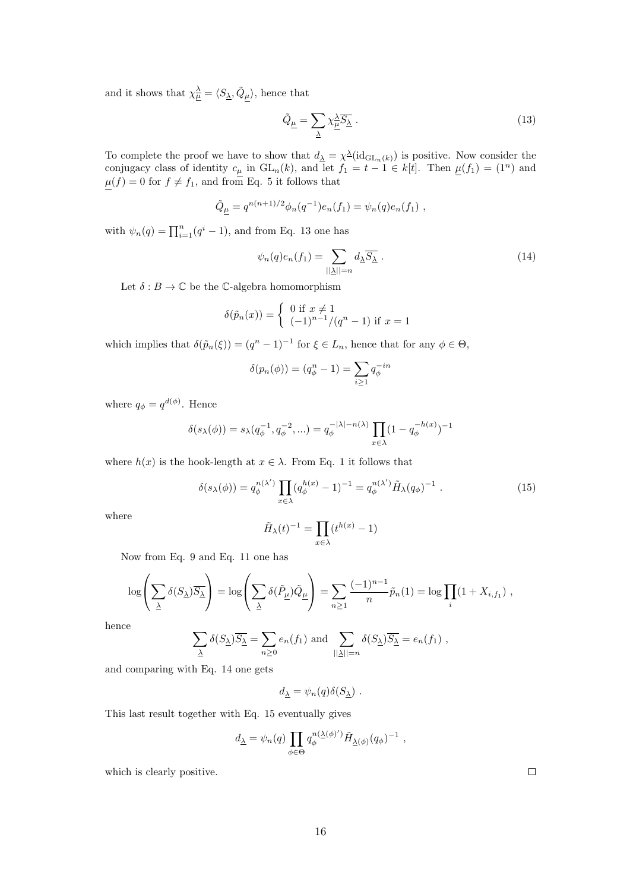and it shows that  $\chi^{\underline{\lambda}}_{\mu} = \langle S_{\underline{\lambda}}, \tilde{Q}_{\mu} \rangle$ , hence that

$$
\tilde{Q}_{\underline{\mu}} = \sum_{\underline{\lambda}} \chi^{\underline{\lambda}}_{\underline{\mu}} \overline{S_{\underline{\lambda}}} \ . \tag{13}
$$

To complete the proof we have to show that  $d_{\underline{\lambda}} = \chi^{\underline{\lambda}}(\mathrm{id}_{\mathrm{GL}_n(k)})$  is positive. Now consider the conjugacy class of identity  $c_{\mu}$  in  $GL_n(k)$ , and let  $f_1 = t - 1 \in k[t]$ . Then  $\mu(f_1) = (1^n)$  and  $\mu(f) = 0$  for  $f \neq f_1$ , and from Eq. 5 it follows that

$$
\tilde{Q}_{\underline{\mu}} = q^{n(n+1)/2} \phi_n(q^{-1}) e_n(f_1) = \psi_n(q) e_n(f_1) ,
$$

with  $\psi_n(q) = \prod_{i=1}^n (q^i - 1)$ , and from Eq. 13 one has

$$
\psi_n(q)e_n(f_1) = \sum_{\substack{|\Delta|=n}} d_{\Delta} \overline{S_{\Delta}} . \tag{14}
$$

Let  $\delta : B \to \mathbb{C}$  be the C-algebra homomorphism

$$
\delta(\tilde{p}_n(x)) = \begin{cases} 0 \text{ if } x \neq 1 \\ (-1)^{n-1}/(q^n - 1) \text{ if } x = 1 \end{cases}
$$

which implies that  $\delta(\tilde{p}_n(\xi)) = (q^n - 1)^{-1}$  for  $\xi \in L_n$ , hence that for any  $\phi \in \Theta$ ,

$$
\delta(p_n(\phi)) = (q_{\phi}^n - 1) = \sum_{i \ge 1} q_{\phi}^{-in}
$$

where  $q_{\phi} = q^{d(\phi)}$ . Hence

$$
\delta(s_{\lambda}(\phi)) = s_{\lambda}(q_{\phi}^{-1}, q_{\phi}^{-2}, \ldots) = q_{\phi}^{-|\lambda| - n(\lambda)} \prod_{x \in \lambda} (1 - q_{\phi}^{-h(x)})^{-1}
$$

where  $h(x)$  is the hook-length at  $x \in \lambda$ . From Eq. 1 it follows that

$$
\delta(s_{\lambda}(\phi)) = q_{\phi}^{n(\lambda')} \prod_{x \in \lambda} (q_{\phi}^{h(x)} - 1)^{-1} = q_{\phi}^{n(\lambda')} \tilde{H}_{\lambda}(q_{\phi})^{-1} . \tag{15}
$$

where

$$
\tilde{H}_{\lambda}(t)^{-1} = \prod_{x \in \lambda} (t^{h(x)} - 1)
$$

Now from Eq. 9 and Eq. 11 one has

$$
\log\left(\sum_{\underline{\lambda}} \delta(S_{\underline{\lambda}}) \overline{S_{\underline{\lambda}}}\right) = \log\left(\sum_{\underline{\lambda}} \delta(\tilde{P}_{\underline{\mu}}) \tilde{Q}_{\underline{\mu}}\right) = \sum_{n\geq 1} \frac{(-1)^{n-1}}{n} \tilde{p}_n(1) = \log \prod_i (1 + X_{i, f_1}),
$$

hence

$$
\sum_{\underline{\lambda}} \delta(S_{\underline{\lambda}}) \overline{S_{\underline{\lambda}}} = \sum_{n \ge 0} e_n(f_1) \text{ and } \sum_{||\underline{\lambda}||=n} \delta(S_{\underline{\lambda}}) \overline{S_{\underline{\lambda}}} = e_n(f_1) ,
$$

and comparing with Eq. 14 one gets

$$
d_{\underline{\lambda}} = \psi_n(q) \delta(S_{\underline{\lambda}}) .
$$

This last result together with Eq. 15 eventually gives

$$
d_{\underline{\lambda}} = \psi_n(q) \prod_{\phi \in \Theta} q_{\phi}^{n(\underline{\lambda}(\phi))} \tilde{H}_{\underline{\lambda}(\phi)}(q_{\phi})^{-1} ,
$$

which is clearly positive.

 $\Box$